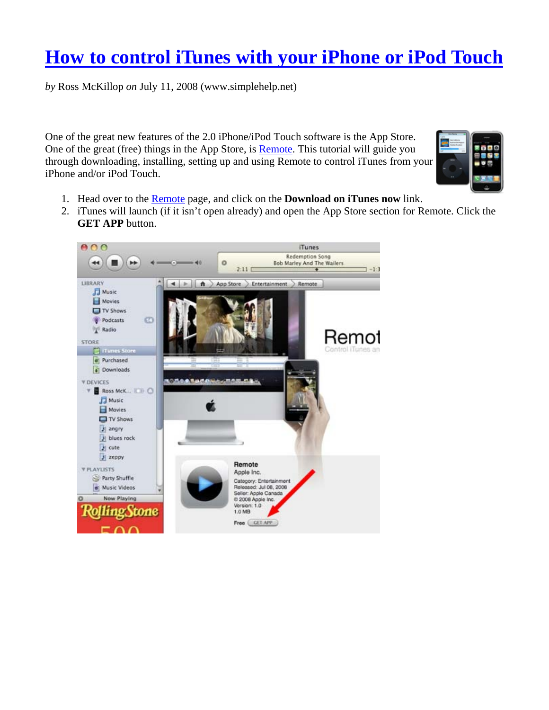## **How to control iTunes with your iPhone or iPod Touch**

*by* Ross McKillop *on* July 11, 2008 (www.simplehelp.net)

One of the great new features of the 2.0 iPhone/iPod Touch software is the App Store. One of the great (free) things in the App Store, is **Remote**. This tutorial will guide you through downloading, installing, setting up and using Remote to control iTunes from your iPhone and/or iPod Touch.



- 1. Head over to the Remote page, and click on the **Download on iTunes now** link.
- 2. iTunes will launch (if it isn't open already) and open the App Store section for Remote. Click the **GET APP** button.

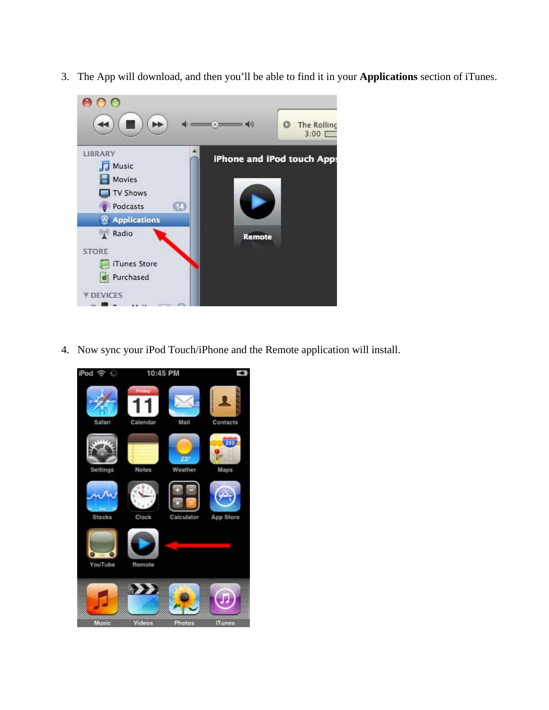3. The App will download, and then you'll be able to find it in your **Applications** section of iTunes.



4. Now sync your iPod Touch/iPhone and the Remote application will install.

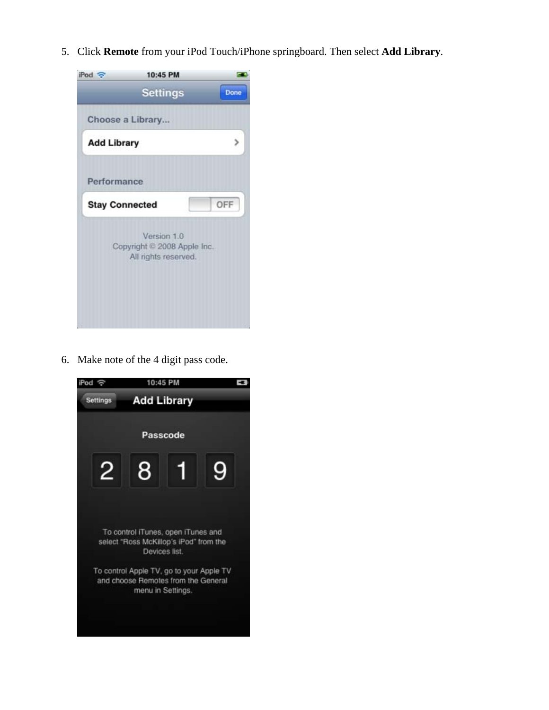5. Click **Remote** from your iPod Touch/iPhone springboard. Then select **Add Library**.



6. Make note of the 4 digit pass code.

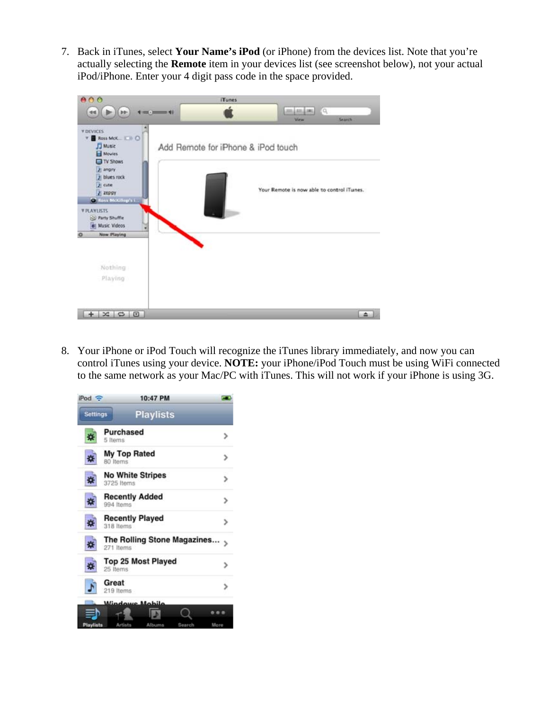7. Back in iTunes, select **Your Name's iPod** (or iPhone) from the devices list. Note that you're actually selecting the **Remote** item in your devices list (see screenshot below), not your actual iPod/iPhone. Enter your 4 digit pass code in the space provided.



8. Your iPhone or iPod Touch will recognize the iTunes library immediately, and now you can control iTunes using your device. **NOTE:** your iPhone/iPod Touch must be using WiFi connected to the same network as your Mac/PC with iTunes. This will not work if your iPhone is using 3G.